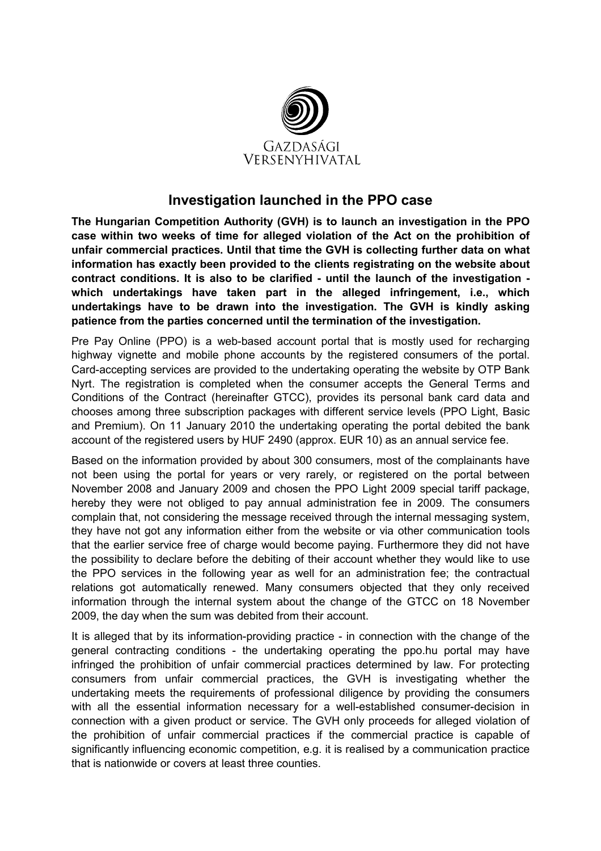

## Investigation launched in the PPO case

The Hungarian Competition Authority (GVH) is to launch an investigation in the PPO case within two weeks of time for alleged violation of the Act on the prohibition of unfair commercial practices. Until that time the GVH is collecting further data on what information has exactly been provided to the clients registrating on the website about contract conditions. It is also to be clarified - until the launch of the investigation which undertakings have taken part in the alleged infringement, i.e., which undertakings have to be drawn into the investigation. The GVH is kindly asking patience from the parties concerned until the termination of the investigation.

Pre Pay Online (PPO) is a web-based account portal that is mostly used for recharging highway vignette and mobile phone accounts by the registered consumers of the portal. Card-accepting services are provided to the undertaking operating the website by OTP Bank Nyrt. The registration is completed when the consumer accepts the General Terms and Conditions of the Contract (hereinafter GTCC), provides its personal bank card data and chooses among three subscription packages with different service levels (PPO Light, Basic and Premium). On 11 January 2010 the undertaking operating the portal debited the bank account of the registered users by HUF 2490 (approx. EUR 10) as an annual service fee.

Based on the information provided by about 300 consumers, most of the complainants have not been using the portal for years or very rarely, or registered on the portal between November 2008 and January 2009 and chosen the PPO Light 2009 special tariff package, hereby they were not obliged to pay annual administration fee in 2009. The consumers complain that, not considering the message received through the internal messaging system, they have not got any information either from the website or via other communication tools that the earlier service free of charge would become paying. Furthermore they did not have the possibility to declare before the debiting of their account whether they would like to use the PPO services in the following year as well for an administration fee; the contractual relations got automatically renewed. Many consumers objected that they only received information through the internal system about the change of the GTCC on 18 November 2009, the day when the sum was debited from their account.

It is alleged that by its information-providing practice - in connection with the change of the general contracting conditions - the undertaking operating the ppo.hu portal may have infringed the prohibition of unfair commercial practices determined by law. For protecting consumers from unfair commercial practices, the GVH is investigating whether the undertaking meets the requirements of professional diligence by providing the consumers with all the essential information necessary for a well-established consumer-decision in connection with a given product or service. The GVH only proceeds for alleged violation of the prohibition of unfair commercial practices if the commercial practice is capable of significantly influencing economic competition, e.g. it is realised by a communication practice that is nationwide or covers at least three counties.